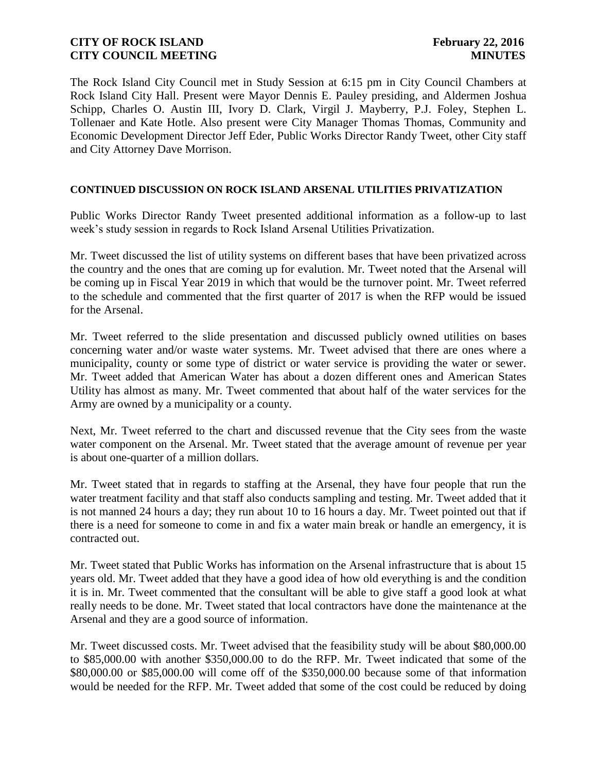The Rock Island City Council met in Study Session at 6:15 pm in City Council Chambers at Rock Island City Hall. Present were Mayor Dennis E. Pauley presiding, and Aldermen Joshua Schipp, Charles O. Austin III, Ivory D. Clark, Virgil J. Mayberry, P.J. Foley, Stephen L. Tollenaer and Kate Hotle. Also present were City Manager Thomas Thomas, Community and Economic Development Director Jeff Eder, Public Works Director Randy Tweet, other City staff and City Attorney Dave Morrison.

#### **CONTINUED DISCUSSION ON ROCK ISLAND ARSENAL UTILITIES PRIVATIZATION**

Public Works Director Randy Tweet presented additional information as a follow-up to last week's study session in regards to Rock Island Arsenal Utilities Privatization.

Mr. Tweet discussed the list of utility systems on different bases that have been privatized across the country and the ones that are coming up for evalution. Mr. Tweet noted that the Arsenal will be coming up in Fiscal Year 2019 in which that would be the turnover point. Mr. Tweet referred to the schedule and commented that the first quarter of 2017 is when the RFP would be issued for the Arsenal.

Mr. Tweet referred to the slide presentation and discussed publicly owned utilities on bases concerning water and/or waste water systems. Mr. Tweet advised that there are ones where a municipality, county or some type of district or water service is providing the water or sewer. Mr. Tweet added that American Water has about a dozen different ones and American States Utility has almost as many. Mr. Tweet commented that about half of the water services for the Army are owned by a municipality or a county.

Next, Mr. Tweet referred to the chart and discussed revenue that the City sees from the waste water component on the Arsenal. Mr. Tweet stated that the average amount of revenue per year is about one-quarter of a million dollars.

Mr. Tweet stated that in regards to staffing at the Arsenal, they have four people that run the water treatment facility and that staff also conducts sampling and testing. Mr. Tweet added that it is not manned 24 hours a day; they run about 10 to 16 hours a day. Mr. Tweet pointed out that if there is a need for someone to come in and fix a water main break or handle an emergency, it is contracted out.

Mr. Tweet stated that Public Works has information on the Arsenal infrastructure that is about 15 years old. Mr. Tweet added that they have a good idea of how old everything is and the condition it is in. Mr. Tweet commented that the consultant will be able to give staff a good look at what really needs to be done. Mr. Tweet stated that local contractors have done the maintenance at the Arsenal and they are a good source of information.

Mr. Tweet discussed costs. Mr. Tweet advised that the feasibility study will be about \$80,000.00 to \$85,000.00 with another \$350,000.00 to do the RFP. Mr. Tweet indicated that some of the \$80,000.00 or \$85,000.00 will come off of the \$350,000.00 because some of that information would be needed for the RFP. Mr. Tweet added that some of the cost could be reduced by doing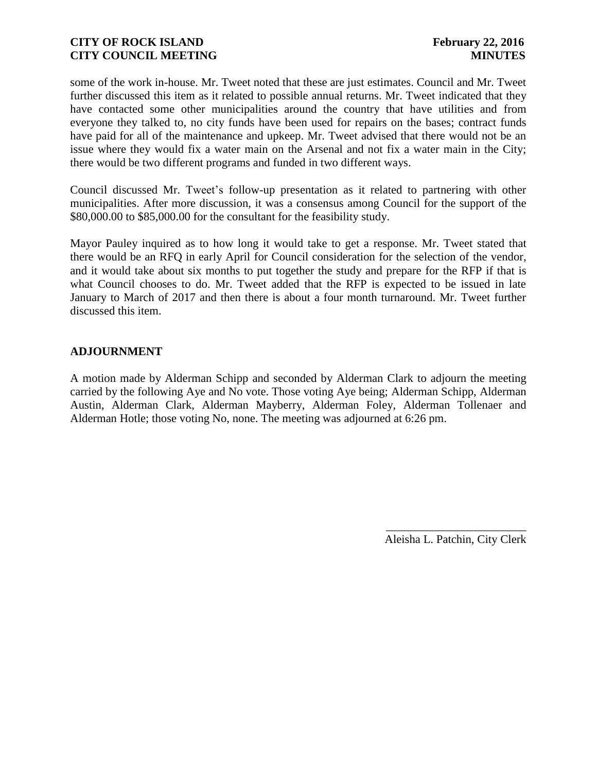some of the work in-house. Mr. Tweet noted that these are just estimates. Council and Mr. Tweet further discussed this item as it related to possible annual returns. Mr. Tweet indicated that they have contacted some other municipalities around the country that have utilities and from everyone they talked to, no city funds have been used for repairs on the bases; contract funds have paid for all of the maintenance and upkeep. Mr. Tweet advised that there would not be an issue where they would fix a water main on the Arsenal and not fix a water main in the City; there would be two different programs and funded in two different ways.

Council discussed Mr. Tweet's follow-up presentation as it related to partnering with other municipalities. After more discussion, it was a consensus among Council for the support of the \$80,000.00 to \$85,000.00 for the consultant for the feasibility study.

Mayor Pauley inquired as to how long it would take to get a response. Mr. Tweet stated that there would be an RFQ in early April for Council consideration for the selection of the vendor, and it would take about six months to put together the study and prepare for the RFP if that is what Council chooses to do. Mr. Tweet added that the RFP is expected to be issued in late January to March of 2017 and then there is about a four month turnaround. Mr. Tweet further discussed this item.

# **ADJOURNMENT**

A motion made by Alderman Schipp and seconded by Alderman Clark to adjourn the meeting carried by the following Aye and No vote. Those voting Aye being; Alderman Schipp, Alderman Austin, Alderman Clark, Alderman Mayberry, Alderman Foley, Alderman Tollenaer and Alderman Hotle; those voting No, none. The meeting was adjourned at 6:26 pm.

> \_\_\_\_\_\_\_\_\_\_\_\_\_\_\_\_\_\_\_\_\_\_\_\_ Aleisha L. Patchin, City Clerk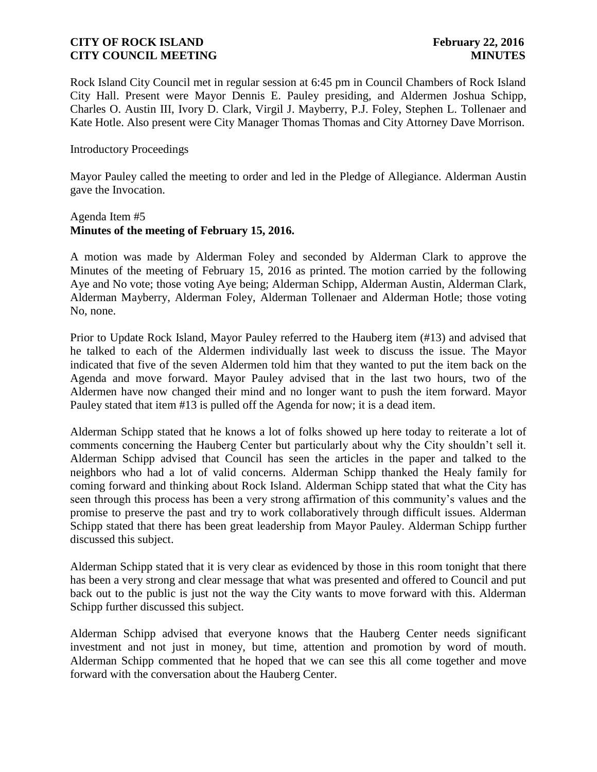Rock Island City Council met in regular session at 6:45 pm in Council Chambers of Rock Island City Hall. Present were Mayor Dennis E. Pauley presiding, and Aldermen Joshua Schipp, Charles O. Austin III, Ivory D. Clark, Virgil J. Mayberry, P.J. Foley, Stephen L. Tollenaer and Kate Hotle. Also present were City Manager Thomas Thomas and City Attorney Dave Morrison.

#### Introductory Proceedings

Mayor Pauley called the meeting to order and led in the Pledge of Allegiance. Alderman Austin gave the Invocation.

#### Agenda Item #5 **Minutes of the meeting of February 15, 2016.**

A motion was made by Alderman Foley and seconded by Alderman Clark to approve the Minutes of the meeting of February 15, 2016 as printed. The motion carried by the following Aye and No vote; those voting Aye being; Alderman Schipp, Alderman Austin, Alderman Clark, Alderman Mayberry, Alderman Foley, Alderman Tollenaer and Alderman Hotle; those voting No, none.

Prior to Update Rock Island, Mayor Pauley referred to the Hauberg item (#13) and advised that he talked to each of the Aldermen individually last week to discuss the issue. The Mayor indicated that five of the seven Aldermen told him that they wanted to put the item back on the Agenda and move forward. Mayor Pauley advised that in the last two hours, two of the Aldermen have now changed their mind and no longer want to push the item forward. Mayor Pauley stated that item #13 is pulled off the Agenda for now; it is a dead item.

Alderman Schipp stated that he knows a lot of folks showed up here today to reiterate a lot of comments concerning the Hauberg Center but particularly about why the City shouldn't sell it. Alderman Schipp advised that Council has seen the articles in the paper and talked to the neighbors who had a lot of valid concerns. Alderman Schipp thanked the Healy family for coming forward and thinking about Rock Island. Alderman Schipp stated that what the City has seen through this process has been a very strong affirmation of this community's values and the promise to preserve the past and try to work collaboratively through difficult issues. Alderman Schipp stated that there has been great leadership from Mayor Pauley. Alderman Schipp further discussed this subject.

Alderman Schipp stated that it is very clear as evidenced by those in this room tonight that there has been a very strong and clear message that what was presented and offered to Council and put back out to the public is just not the way the City wants to move forward with this. Alderman Schipp further discussed this subject.

Alderman Schipp advised that everyone knows that the Hauberg Center needs significant investment and not just in money, but time, attention and promotion by word of mouth. Alderman Schipp commented that he hoped that we can see this all come together and move forward with the conversation about the Hauberg Center.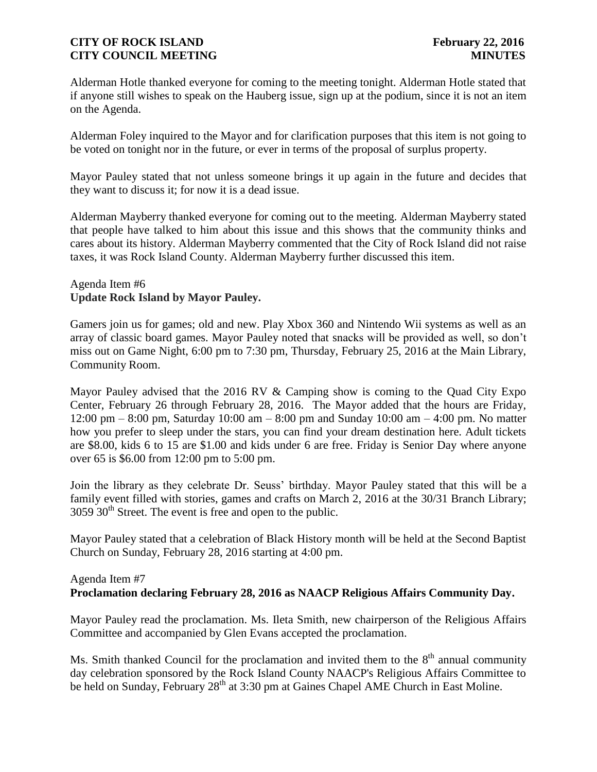Alderman Hotle thanked everyone for coming to the meeting tonight. Alderman Hotle stated that if anyone still wishes to speak on the Hauberg issue, sign up at the podium, since it is not an item on the Agenda.

Alderman Foley inquired to the Mayor and for clarification purposes that this item is not going to be voted on tonight nor in the future, or ever in terms of the proposal of surplus property.

Mayor Pauley stated that not unless someone brings it up again in the future and decides that they want to discuss it; for now it is a dead issue.

Alderman Mayberry thanked everyone for coming out to the meeting. Alderman Mayberry stated that people have talked to him about this issue and this shows that the community thinks and cares about its history. Alderman Mayberry commented that the City of Rock Island did not raise taxes, it was Rock Island County. Alderman Mayberry further discussed this item.

### Agenda Item #6 **Update Rock Island by Mayor Pauley.**

Gamers join us for games; old and new. Play Xbox 360 and Nintendo Wii systems as well as an array of classic board games. Mayor Pauley noted that snacks will be provided as well, so don't miss out on Game Night, 6:00 pm to 7:30 pm, Thursday, February 25, 2016 at the Main Library, Community Room.

Mayor Pauley advised that the 2016 RV & Camping show is coming to the Quad City Expo Center, February 26 through February 28, 2016. The Mayor added that the hours are Friday, 12:00 pm – 8:00 pm, Saturday 10:00 am – 8:00 pm and Sunday 10:00 am – 4:00 pm. No matter how you prefer to sleep under the stars, you can find your dream destination here. Adult tickets are \$8.00, kids 6 to 15 are \$1.00 and kids under 6 are free. Friday is Senior Day where anyone over 65 is \$6.00 from 12:00 pm to 5:00 pm.

Join the library as they celebrate Dr. Seuss' birthday. Mayor Pauley stated that this will be a family event filled with stories, games and crafts on March 2, 2016 at the 30/31 Branch Library;  $3059$   $30<sup>th</sup>$  Street. The event is free and open to the public.

Mayor Pauley stated that a celebration of Black History month will be held at the Second Baptist Church on Sunday, February 28, 2016 starting at 4:00 pm.

# Agenda Item #7

# **Proclamation declaring February 28, 2016 as NAACP Religious Affairs Community Day.**

Mayor Pauley read the proclamation. Ms. Ileta Smith, new chairperson of the Religious Affairs Committee and accompanied by Glen Evans accepted the proclamation.

Ms. Smith thanked Council for the proclamation and invited them to the  $8<sup>th</sup>$  annual community day celebration sponsored by the Rock Island County NAACP's Religious Affairs Committee to be held on Sunday, February 28<sup>th</sup> at 3:30 pm at Gaines Chapel AME Church in East Moline.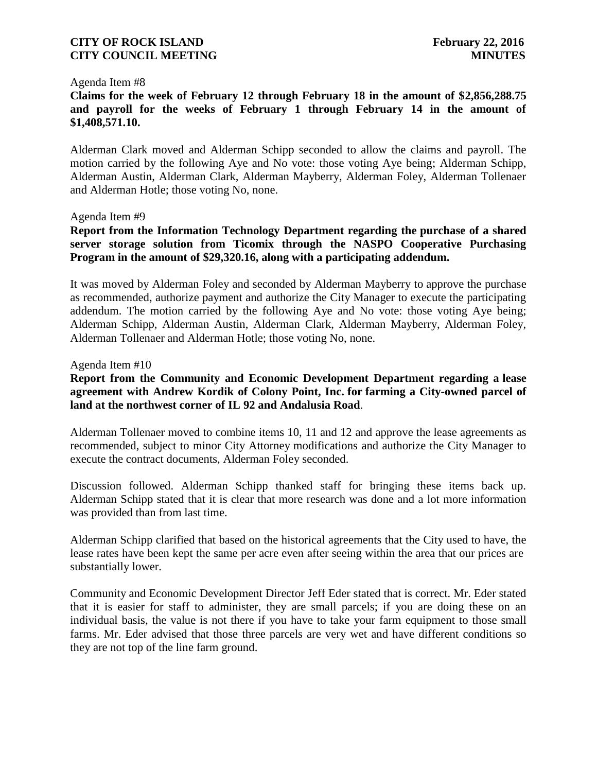#### Agenda Item #8

**Claims for the week of February 12 through February 18 in the amount of \$2,856,288.75 and payroll for the weeks of February 1 through February 14 in the amount of \$1,408,571.10.** 

Alderman Clark moved and Alderman Schipp seconded to allow the claims and payroll. The motion carried by the following Aye and No vote: those voting Aye being; Alderman Schipp, Alderman Austin, Alderman Clark, Alderman Mayberry, Alderman Foley, Alderman Tollenaer and Alderman Hotle; those voting No, none.

#### Agenda Item #9

**Report from the Information Technology Department regarding the purchase of a shared server storage solution from Ticomix through the NASPO Cooperative Purchasing Program in the amount of \$29,320.16, along with a participating addendum.**

It was moved by Alderman Foley and seconded by Alderman Mayberry to approve the purchase as recommended, authorize payment and authorize the City Manager to execute the participating addendum. The motion carried by the following Aye and No vote: those voting Aye being; Alderman Schipp, Alderman Austin, Alderman Clark, Alderman Mayberry, Alderman Foley, Alderman Tollenaer and Alderman Hotle; those voting No, none.

#### Agenda Item #10

# **Report from the Community and Economic Development Department regarding a lease agreement with Andrew Kordik of Colony Point, Inc. for farming a City-owned parcel of land at the northwest corner of IL 92 and Andalusia Road**.

Alderman Tollenaer moved to combine items 10, 11 and 12 and approve the lease agreements as recommended, subject to minor City Attorney modifications and authorize the City Manager to execute the contract documents, Alderman Foley seconded.

Discussion followed. Alderman Schipp thanked staff for bringing these items back up. Alderman Schipp stated that it is clear that more research was done and a lot more information was provided than from last time.

Alderman Schipp clarified that based on the historical agreements that the City used to have, the lease rates have been kept the same per acre even after seeing within the area that our prices are substantially lower.

Community and Economic Development Director Jeff Eder stated that is correct. Mr. Eder stated that it is easier for staff to administer, they are small parcels; if you are doing these on an individual basis, the value is not there if you have to take your farm equipment to those small farms. Mr. Eder advised that those three parcels are very wet and have different conditions so they are not top of the line farm ground.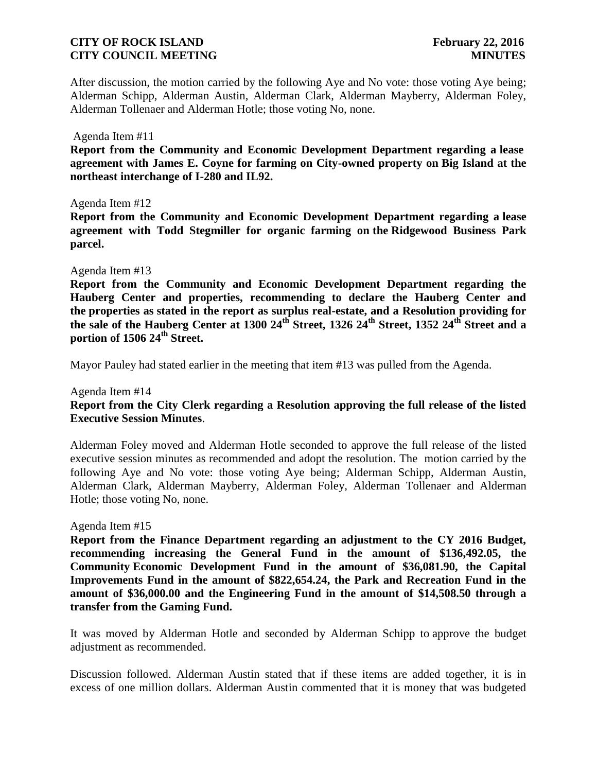After discussion, the motion carried by the following Aye and No vote: those voting Aye being; Alderman Schipp, Alderman Austin, Alderman Clark, Alderman Mayberry, Alderman Foley, Alderman Tollenaer and Alderman Hotle; those voting No, none.

#### Agenda Item #11

**Report from the Community and Economic Development Department regarding a lease agreement with James E. Coyne for farming on City-owned property on Big Island at the northeast interchange of I-280 and IL92.**

#### Agenda Item #12

**Report from the Community and Economic Development Department regarding a lease agreement with Todd Stegmiller for organic farming on the Ridgewood Business Park parcel.**

#### Agenda Item #13

**the sale of the Hauberg Center at 1300 24th Street, 1326 24th Street, 1352 24th Street and a portion of 1506 24th Street. Report from the Community and Economic Development Department regarding the Hauberg Center and properties, recommending to declare the Hauberg Center and the properties as stated in the report as surplus real-estate, and a Resolution providing for** 

Mayor Pauley had stated earlier in the meeting that item #13 was pulled from the Agenda.

# Agenda Item #14 **Report from the City Clerk regarding a Resolution approving the full release of the listed Executive Session Minutes**.

Alderman Foley moved and Alderman Hotle seconded to approve the full release of the listed executive session minutes as recommended and adopt the resolution. The motion carried by the following Aye and No vote: those voting Aye being; Alderman Schipp, Alderman Austin, Alderman Clark, Alderman Mayberry, Alderman Foley, Alderman Tollenaer and Alderman Hotle; those voting No, none.

#### Agenda Item #15

**Report from the Finance Department regarding an adjustment to the CY 2016 Budget, recommending increasing the General Fund in the amount of \$136,492.05, the Community Economic Development Fund in the amount of \$36,081.90, the Capital Improvements Fund in the amount of \$822,654.24, the Park and Recreation Fund in the amount of \$36,000.00 and the Engineering Fund in the amount of \$14,508.50 through a transfer from the Gaming Fund.**

It was moved by Alderman Hotle and seconded by Alderman Schipp to approve the budget adjustment as recommended.

Discussion followed. Alderman Austin stated that if these items are added together, it is in excess of one million dollars. Alderman Austin commented that it is money that was budgeted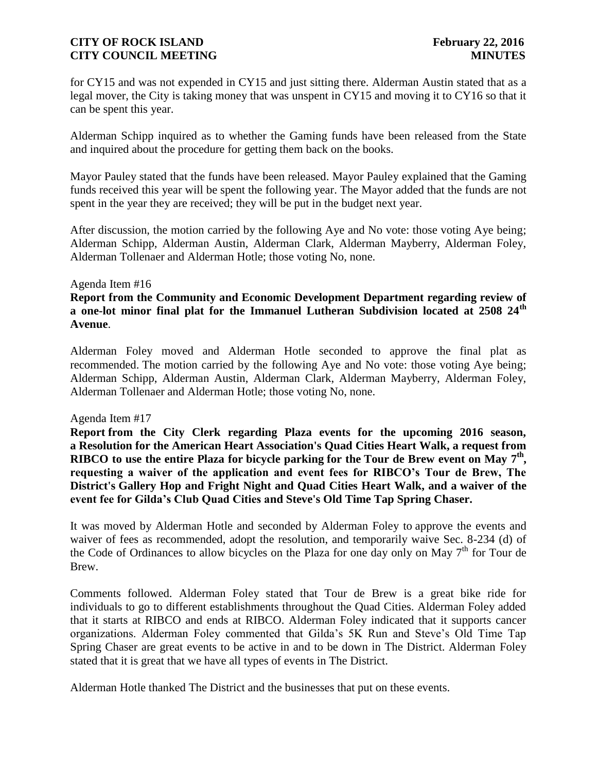for CY15 and was not expended in CY15 and just sitting there. Alderman Austin stated that as a legal mover, the City is taking money that was unspent in CY15 and moving it to CY16 so that it can be spent this year.

Alderman Schipp inquired as to whether the Gaming funds have been released from the State and inquired about the procedure for getting them back on the books.

Mayor Pauley stated that the funds have been released. Mayor Pauley explained that the Gaming funds received this year will be spent the following year. The Mayor added that the funds are not spent in the year they are received; they will be put in the budget next year.

After discussion, the motion carried by the following Aye and No vote: those voting Aye being; Alderman Schipp, Alderman Austin, Alderman Clark, Alderman Mayberry, Alderman Foley, Alderman Tollenaer and Alderman Hotle; those voting No, none.

#### Agenda Item #16

**Report from the Community and Economic Development Department regarding review of a one-lot minor final plat for the Immanuel Lutheran Subdivision located at 2508 24th Avenue**.

Alderman Foley moved and Alderman Hotle seconded to approve the final plat as recommended. The motion carried by the following Aye and No vote: those voting Aye being; Alderman Schipp, Alderman Austin, Alderman Clark, Alderman Mayberry, Alderman Foley, Alderman Tollenaer and Alderman Hotle; those voting No, none.

#### Agenda Item #17

**Report from the City Clerk regarding Plaza events for the upcoming 2016 season, a Resolution for the American Heart Association's Quad Cities Heart Walk, a request from RIBCO to use the entire Plaza for bicycle parking for the Tour de Brew event on May 7 th , requesting a waiver of the application and event fees for RIBCO's Tour de Brew, The District's Gallery Hop and Fright Night and Quad Cities Heart Walk, and a waiver of the event fee for Gilda's Club Quad Cities and Steve's Old Time Tap Spring Chaser.**

It was moved by Alderman Hotle and seconded by Alderman Foley to approve the events and waiver of fees as recommended, adopt the resolution, and temporarily waive Sec. 8-234 (d) of the Code of Ordinances to allow bicycles on the Plaza for one day only on May  $7<sup>th</sup>$  for Tour de Brew.

Comments followed. Alderman Foley stated that Tour de Brew is a great bike ride for individuals to go to different establishments throughout the Quad Cities. Alderman Foley added that it starts at RIBCO and ends at RIBCO. Alderman Foley indicated that it supports cancer organizations. Alderman Foley commented that Gilda's 5K Run and Steve's Old Time Tap Spring Chaser are great events to be active in and to be down in The District. Alderman Foley stated that it is great that we have all types of events in The District.

Alderman Hotle thanked The District and the businesses that put on these events.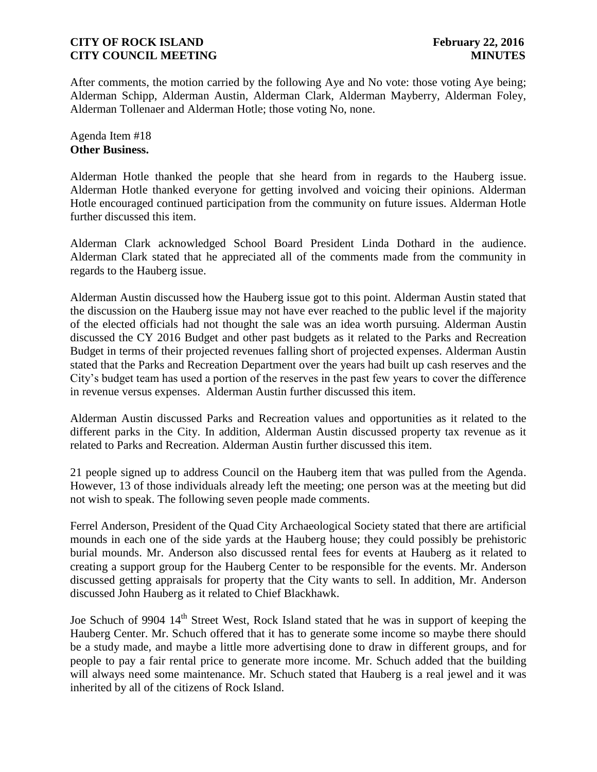After comments, the motion carried by the following Aye and No vote: those voting Aye being; Alderman Schipp, Alderman Austin, Alderman Clark, Alderman Mayberry, Alderman Foley, Alderman Tollenaer and Alderman Hotle; those voting No, none.

Agenda Item #18 **Other Business.**

Alderman Hotle thanked the people that she heard from in regards to the Hauberg issue. Alderman Hotle thanked everyone for getting involved and voicing their opinions. Alderman Hotle encouraged continued participation from the community on future issues. Alderman Hotle further discussed this item.

Alderman Clark acknowledged School Board President Linda Dothard in the audience. Alderman Clark stated that he appreciated all of the comments made from the community in regards to the Hauberg issue.

Alderman Austin discussed how the Hauberg issue got to this point. Alderman Austin stated that the discussion on the Hauberg issue may not have ever reached to the public level if the majority of the elected officials had not thought the sale was an idea worth pursuing. Alderman Austin discussed the CY 2016 Budget and other past budgets as it related to the Parks and Recreation Budget in terms of their projected revenues falling short of projected expenses. Alderman Austin stated that the Parks and Recreation Department over the years had built up cash reserves and the City's budget team has used a portion of the reserves in the past few years to cover the difference in revenue versus expenses. Alderman Austin further discussed this item.

Alderman Austin discussed Parks and Recreation values and opportunities as it related to the different parks in the City. In addition, Alderman Austin discussed property tax revenue as it related to Parks and Recreation. Alderman Austin further discussed this item.

21 people signed up to address Council on the Hauberg item that was pulled from the Agenda. However, 13 of those individuals already left the meeting; one person was at the meeting but did not wish to speak. The following seven people made comments.

Ferrel Anderson, President of the Quad City Archaeological Society stated that there are artificial mounds in each one of the side yards at the Hauberg house; they could possibly be prehistoric burial mounds. Mr. Anderson also discussed rental fees for events at Hauberg as it related to creating a support group for the Hauberg Center to be responsible for the events. Mr. Anderson discussed getting appraisals for property that the City wants to sell. In addition, Mr. Anderson discussed John Hauberg as it related to Chief Blackhawk.

Joe Schuch of 9904 14<sup>th</sup> Street West, Rock Island stated that he was in support of keeping the Hauberg Center. Mr. Schuch offered that it has to generate some income so maybe there should be a study made, and maybe a little more advertising done to draw in different groups, and for people to pay a fair rental price to generate more income. Mr. Schuch added that the building will always need some maintenance. Mr. Schuch stated that Hauberg is a real jewel and it was inherited by all of the citizens of Rock Island.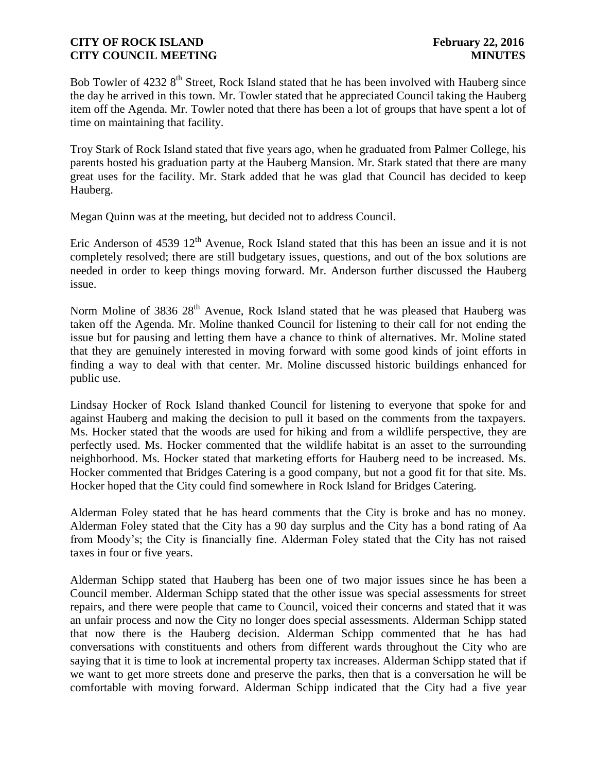Bob Towler of 4232 8<sup>th</sup> Street, Rock Island stated that he has been involved with Hauberg since the day he arrived in this town. Mr. Towler stated that he appreciated Council taking the Hauberg item off the Agenda. Mr. Towler noted that there has been a lot of groups that have spent a lot of time on maintaining that facility.

Troy Stark of Rock Island stated that five years ago, when he graduated from Palmer College, his parents hosted his graduation party at the Hauberg Mansion. Mr. Stark stated that there are many great uses for the facility. Mr. Stark added that he was glad that Council has decided to keep Hauberg.

Megan Quinn was at the meeting, but decided not to address Council.

Eric Anderson of 4539  $12<sup>th</sup>$  Avenue, Rock Island stated that this has been an issue and it is not completely resolved; there are still budgetary issues, questions, and out of the box solutions are needed in order to keep things moving forward. Mr. Anderson further discussed the Hauberg issue.

Norm Moline of 3836 28<sup>th</sup> Avenue, Rock Island stated that he was pleased that Hauberg was taken off the Agenda. Mr. Moline thanked Council for listening to their call for not ending the issue but for pausing and letting them have a chance to think of alternatives. Mr. Moline stated that they are genuinely interested in moving forward with some good kinds of joint efforts in finding a way to deal with that center. Mr. Moline discussed historic buildings enhanced for public use.

Lindsay Hocker of Rock Island thanked Council for listening to everyone that spoke for and against Hauberg and making the decision to pull it based on the comments from the taxpayers. Ms. Hocker stated that the woods are used for hiking and from a wildlife perspective, they are perfectly used. Ms. Hocker commented that the wildlife habitat is an asset to the surrounding neighborhood. Ms. Hocker stated that marketing efforts for Hauberg need to be increased. Ms. Hocker commented that Bridges Catering is a good company, but not a good fit for that site. Ms. Hocker hoped that the City could find somewhere in Rock Island for Bridges Catering.

Alderman Foley stated that he has heard comments that the City is broke and has no money. Alderman Foley stated that the City has a 90 day surplus and the City has a bond rating of Aa from Moody's; the City is financially fine. Alderman Foley stated that the City has not raised taxes in four or five years.

Alderman Schipp stated that Hauberg has been one of two major issues since he has been a Council member. Alderman Schipp stated that the other issue was special assessments for street repairs, and there were people that came to Council, voiced their concerns and stated that it was an unfair process and now the City no longer does special assessments. Alderman Schipp stated that now there is the Hauberg decision. Alderman Schipp commented that he has had conversations with constituents and others from different wards throughout the City who are saying that it is time to look at incremental property tax increases. Alderman Schipp stated that if we want to get more streets done and preserve the parks, then that is a conversation he will be comfortable with moving forward. Alderman Schipp indicated that the City had a five year